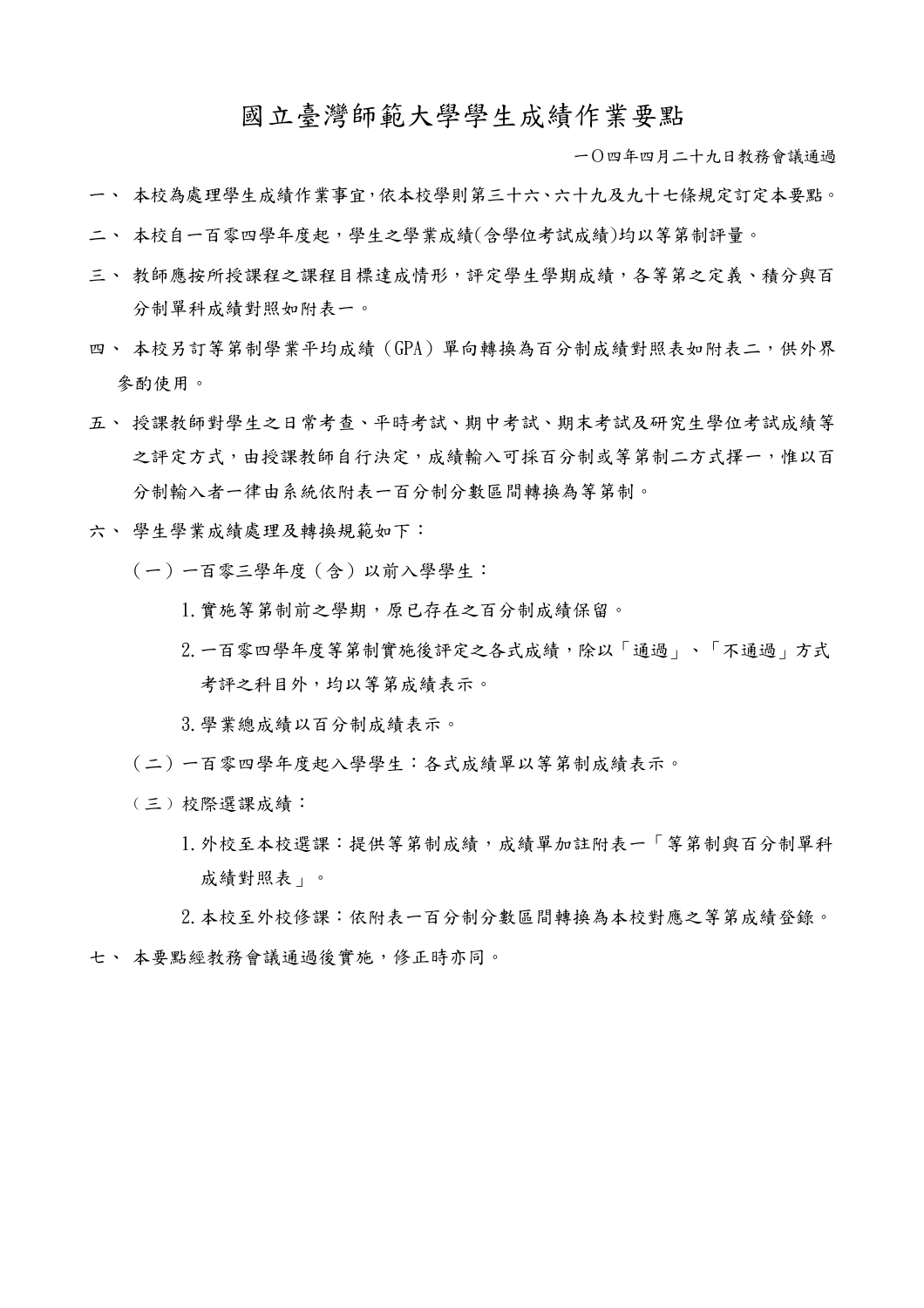## 國立臺灣師範大學學生成績作業要點

一Ο四年四月二十九日教務會議通過

- 一、 本校為處理學生成績作業事宜,依本校學則第三十六、六十九及九十七條規定訂定本要點。
- 二、 本校自一百零四學年度起,學生之學業成績(含學位考試成績)均以等第制評量。
- 三、 教師應按所授課程之課程目標達成情形,評定學生學期成績,各等第之定義、積分與百 分制單科成績對照如附表一。
- 四、 本校另訂等第制學業平均成績(GPA)單向轉換為百分制成績對照表如附表二,供外界 參酌使用。
- 五、 授課教師對學生之日常考查、平時考試、期中考試、期末考試及研究生學位考試成績等 之評定方式,由授課教師自行決定,成績輸入可採百分制或等第制二方式擇一,惟以百 分制輸入者一律由系統依附表一百分制分數區間轉換為等第制。
- 六、 學生學業成績處理及轉換規範如下:
	- (一)一百零三學年度(含)以前入學學生:
		- 1.實施等第制前之學期,原已存在之百分制成績保留。
		- 2.一百零四學年度等第制實施後評定之各式成績,除以「通過」、「不通過」方式 考評之科目外,均以等第成績表示。
		- 3.學業總成績以百分制成績表示。
	- (二)一百零四學年度起入學學生:各式成績單以等第制成績表示。
	- ﹙三﹚校際選課成績:
		- 1.外校至本校選課:提供等第制成績,成績單加註附表一「等第制與百分制單科 成績對照表」。

2.本校至外校修課:依附表一百分制分數區間轉換為本校對應之等第成績登錄。 七、 本要點經教務會議通過後實施,修正時亦同。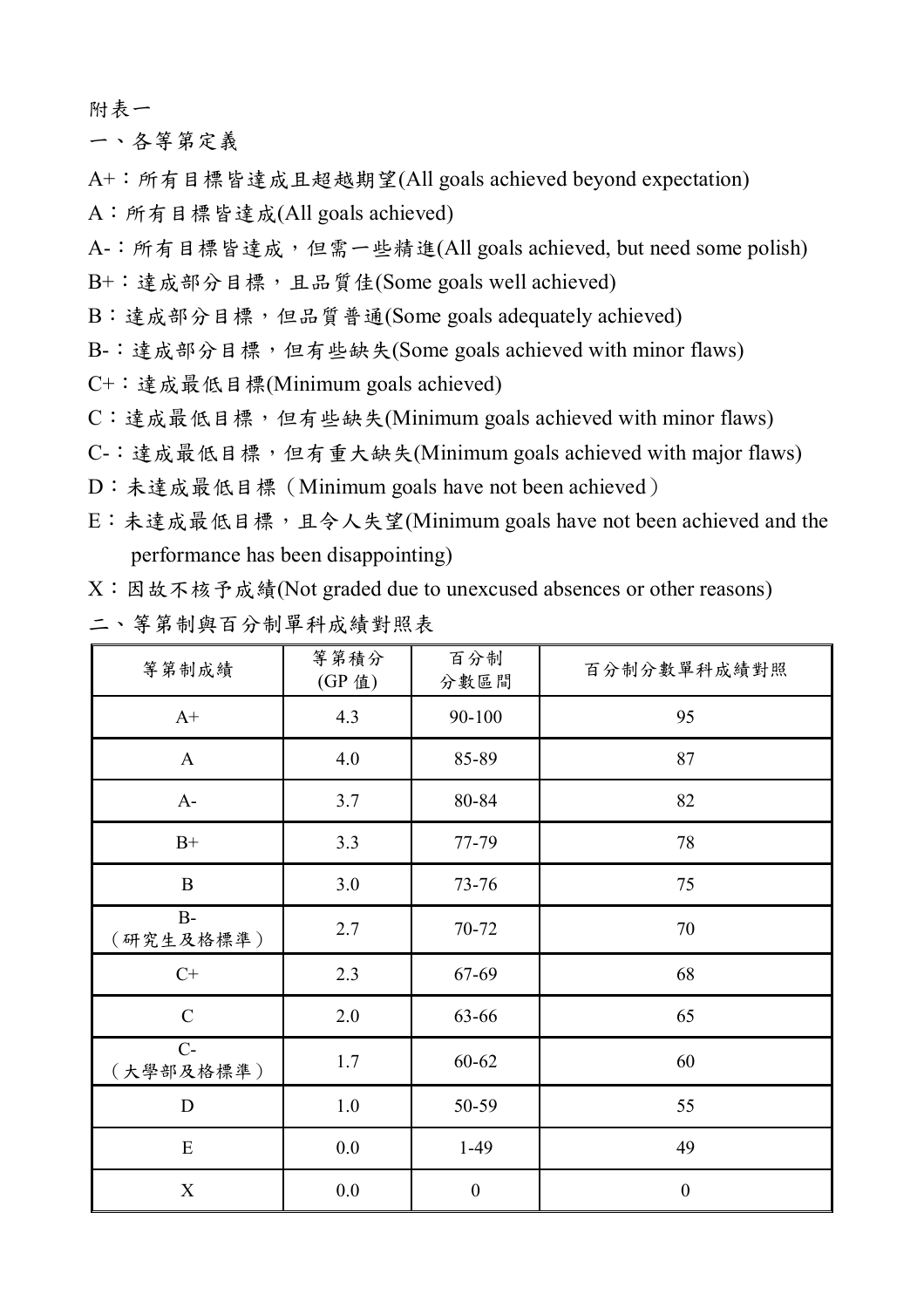附表一

一、各等第定義

A+:所有目標皆達成且超越期望(All goals achieved beyond expectation)

A:所有目標皆達成(All goals achieved)

A-:所有目標皆達成,但需一些精進(All goals achieved, but need some polish)

B+: 達成部分目標,且品質佳(Some goals well achieved)

B:達成部分目標,但品質普通(Some goals adequately achieved)

B-:達成部分目標,但有些缺失(Some goals achieved with minor flaws)

- C+:達成最低目標(Minimum goals achieved)
- C:達成最低目標,但有些缺失(Minimum goals achieved with minor flaws)
- C-:達成最低目標,但有重大缺失(Minimum goals achieved with major flaws)
- D:未達成最低目標(Minimum goals have not been achieved)
- E:未達成最低目標,且令人失望(Minimum goals have not been achieved and the performance has been disappointing)

X:因故不核予成績(Not graded due to unexcused absences or other reasons)

|  |  |  | 、等第制與百分制單科成績對照表 |  |  |  |
|--|--|--|-----------------|--|--|--|
|  |  |  |                 |  |  |  |

| 等第制成績             | 等第積分<br>(GP 值) | 百分制<br>分數區間      | 百分制分數單科成績對照      |
|-------------------|----------------|------------------|------------------|
| $A+$              | 4.3            | 90-100           | 95               |
| $\mathbf{A}$      | 4.0            | 85-89            | 87               |
| $A-$              | 3.7            | 80-84            | 82               |
| $B+$              | 3.3            | 77-79            | 78               |
| $\bf{B}$          | 3.0            | $73 - 76$        | 75               |
| $B-$<br>(研究生及格標準) | 2.7            | 70-72            | $70\,$           |
| $C+$              | 2.3            | 67-69            | 68               |
| $\mathbf C$       | 2.0            | 63-66            | 65               |
| $C-$<br>(大學部及格標準) | 1.7            | $60 - 62$        | 60               |
| $\mathbf D$       | $1.0\,$        | 50-59            | 55               |
| ${\bf E}$         | 0.0            | $1-49$           | 49               |
| $\mathbf X$       | $0.0\,$        | $\boldsymbol{0}$ | $\boldsymbol{0}$ |